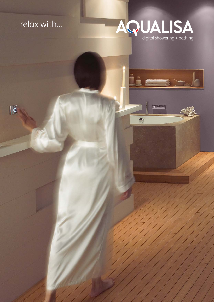### relax with...



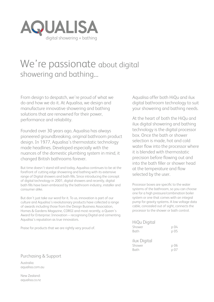

### We're passionate about digital showering and bathing...

From design to despatch, we're proud of what we do and how we do it. At Aqualisa, we design and manufacture innovative showering and bathing solutions that are renowned for their power, performance and reliability.

Founded over 30 years ago, Aqualisa has always pioneered groundbreaking, original bathroom product design. In 1977, Aqualisa's thermostatic technology made headlines. Developed especially with the nuances of the domestic plumbing system in mind, it changed British bathrooms forever.

But time doesn't stand still and today, Aqualisa continues to be at the forefront of cutting edge showering and bathing with its extensive range of Digital showers and bath fills. Since introducing the concept of digital technology in 2001, digital showers and recently, digital bath fills have been embraced by the bathroom industry, installer and consumer alike.

But don't just take our word for it. To us, innovation is part of our culture and Aqualisa's revolutionary products have collected a range of awards including those from the Design Business Association, Homes & Gardens Magazine, CORGI and most recently, a Queen's Award for Enterprise: Innovation – recognising Digital and cementing Aqualisa's reputation as true innovators.

Praise for products that we are rightly very proud of.

Aqualisa offer both HiQu and ilux digital bathroom technology to suit your showering and bathing needs.

At the heart of both the HiQu and ilux digital showering and bathing technology is the digital processor box. Once the bath or shower selection is made, hot and cold water flow into the processor where it is blended with thermostatic precision before flowing out and into the bath filler or shower head at the temperature and flow selected by the user.

Processor boxes are specific to the water systems of the bathroom, so you can choose one for a high pressure/combination boiler system or one that comes with an integral pump for gravity systems. A low voltage data cable, concealed out of sight, connects the processor to the shower or bath control.

| HiQu Digital<br>Shower<br>Bath | p 04<br>p 05      |
|--------------------------------|-------------------|
| ilux Digital<br>Shower<br>Bath | p 06<br>.<br>p 07 |

#### Purchasing & Support Australia:

aqualisa.com.au

New Zealand: aqualisa.co.nz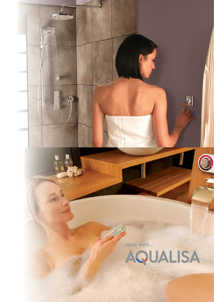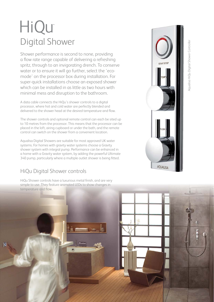## HiQu Digital Shower

Shower performance is second to none, providing a flow rate range capable of delivering a refreshing spritz, through to an invigorating drench. To conserve water or to ensure it will go further, select the 'ecomode' on the processor box during installation. For super-quick installations choose an exposed shower which can be installed in as little as two hours with minimal mess and disruption to the bathroom.

A data cable connects the HiQu's shower controls to a digital processor, where hot and cold water are perfectly blended and delivered to the shower head at the desired temperature and flow.

The shower controls and optional remote control can each be sited up to 10 metres from the processor. This means that the processor can be placed in the loft, airing cupboard or under the bath, and the remote control can switch on the shower from a convenient location.

Aqualisa Digital Showers are suitable for most approved UK water systems. For homes with gravity water systems choose a Gravity shower system with integral pump. Performance can be enhanced in a home with a Gravity water system, by adding the powerful Ultimate 340 pump, particularly where a multiple outlet shower is being fitted.

#### HiQu Digital Shower controls

HiQu Shower controls have a luxurious metal finish, and are very simple to use. They feature animated LEDs to show changes in temperature and flow.





 $\ddot{\circ}$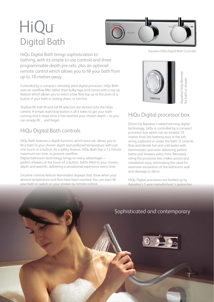## HiQu Digital Bath



HiQu Digital Bath brings sophistication to bathing, with its simple to use controls and three programmable depth pre-sets, plus an optional remote control which allows you to fill your bath from up to 10 metres away.

Controlled by a compact, remotely sited digital processor, HiQu Bath uses an overflow filler rather than bulky taps and comes with a top up feature which allows you to select a low flow top up at the push of a button if your bath is cooling down, or too hot.

Shallow fill, half fill and full fill selectors are etched onto the HiQu control. A simple start/stop button is all it takes to get your bath running and it stops once it has reached your chosen depth – so you can simply fill… and forget.

#### HiQu Digital Bath controls

HiQu Bath features a depth function, which once set, allows you to fill a bath to your chosen depth and preferred temperature with just one touch of a button. As a safety feature, HiQu Bath has a 12 minute maximum run time, to prevent overflow.

Digital bathroom technology brings so many advantages – perfect showers at the touch of a button, baths filled to your chosen depth and warmth, delivering a sensational experience every time.

Intuitive controls feature illuminated displays that show when your desired temperature and flow have been reached. You can even fill your bath or switch on your shower by remote control.





#### HiQu Digital processor box

Driven by Aqualisa's award winning digital technology, HiQu is controlled by a compact processor box which can be located 10 metres from the bathing area in the loft, airing cupboard or under the bath. It controls flow and blends hot and cold water with thermostatic precision, delivering perfect baths and showers every time. Remotely siting the processor box makes access and installation easy, eliminating the need for extensive excavation of the bathroom wall and damage to décor.

HiQu Digital processors are backed up by Aqualisa's 5 year manufacturer's guarantee.

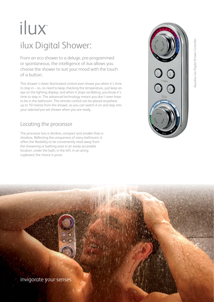# ilux ilux Digital Shower:

From an eco shower to a deluge, pre-programmed or spontaneous, the intelligence of ilux allows you choose the shower to suit your mood with the touch of a button.

This shower's clever illuminated control even shows you when it's time to step in – so, no need to keep checking the temperature, just keep an eye on the lighting display, and when it stops oscillating, you know it's time to step in. The advanced technology means you don't even have to be in the bathroom. The remote control can be placed anywhere up to 10 metres from the shower, so you can switch it on and step into your selected pre-set shower when you are ready.

#### Locating the processor

The processor box is slimline, compact and smaller than a shoebox. Reflecting the uniqueness of every bathroom, it offers the flexibility to be conveniently sited away from the showering or bathing area in an easily accessible location: under the bath, in the loft, in an airing cupboard, the choice is yours.





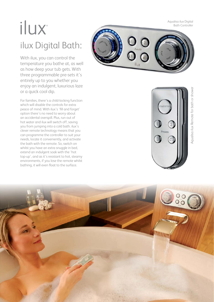Aqualisa ilux Digital Bath Controller

# ilux ilux Digital Bath:

With ilux, you can control the temperature you bathe at, as well as how deep your tub gets. With three programmable pre-sets it's entirely up to you whether you enjoy an indulgent, luxurious laze or a quick cool dip.

For families, there's a child-locking function which will disable the controls for extra peace of mind. With ilux's 'fill and forget' option there's no need to worry about an accidental overspill. Plus, run out of hot water and ilux will switch off, saving you from jumping into a cold bath. ilux's clever remote technology means that you can programme the controller to suit your needs, locate it conveniently, and activate the bath with the remote. So, switch on whilst you have an extra snuggle in bed, extend an indulgent soak with the 'hot top-up', and as it's resistant to hot, steamy environments, if you lose the remote whilst bathing, it will even float to the surface.